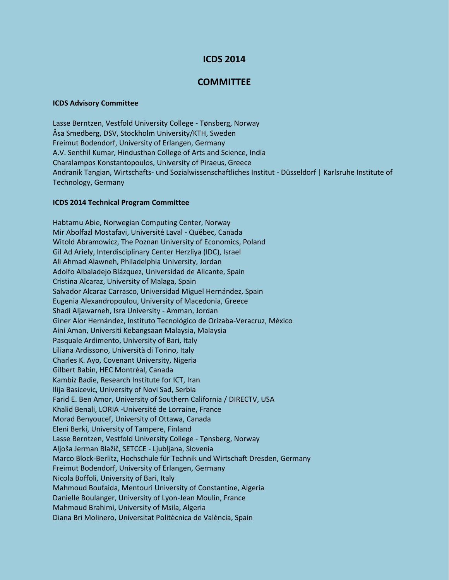## **ICDS 2014**

## **COMMITTEE**

## **ICDS Advisory Committee**

Lasse Berntzen, Vestfold University College - Tønsberg, Norway Åsa Smedberg, DSV, Stockholm University/KTH, Sweden Freimut Bodendorf, University of Erlangen, Germany A.V. Senthil Kumar, Hindusthan College of Arts and Science, India Charalampos Konstantopoulos, University of Piraeus, Greece Andranik Tangian, Wirtschafts- und Sozialwissenschaftliches Institut - Düsseldorf | Karlsruhe Institute of Technology, Germany

## **ICDS 2014 Technical Program Committee**

Habtamu Abie, Norwegian Computing Center, Norway Mir Abolfazl Mostafavi, Université Laval - Québec, Canada Witold Abramowicz, The Poznan University of Economics, Poland Gil Ad Ariely, Interdisciplinary Center Herzliya (IDC), Israel Ali Ahmad Alawneh, Philadelphia University, Jordan Adolfo Albaladejo Blázquez, Universidad de Alicante, Spain Cristina Alcaraz, University of Malaga, Spain Salvador Alcaraz Carrasco, Universidad Miguel Hernández, Spain Eugenia Alexandropoulou, University of Macedonia, Greece Shadi Aljawarneh, Isra University - Amman, Jordan Giner Alor Hernández, Instituto Tecnológico de Orizaba-Veracruz, México Aini Aman, Universiti Kebangsaan Malaysia, Malaysia Pasquale Ardimento, University of Bari, Italy Liliana Ardissono, Università di Torino, Italy Charles K. Ayo, Covenant University, Nigeria Gilbert Babin, HEC Montréal, Canada Kambiz Badie, Research Institute for ICT, Iran Ilija Basicevic, University of Novi Sad, Serbia Farid E. Ben Amor, University of Southern California / DIRECTV, USA Khalid Benali, LORIA -Université de Lorraine, France Morad Benyoucef, University of Ottawa, Canada Eleni Berki, University of Tampere, Finland Lasse Berntzen, Vestfold University College - Tønsberg, Norway Aljoša Jerman Blažič, SETCCE - Ljubljana, Slovenia Marco Block-Berlitz, Hochschule für Technik und Wirtschaft Dresden, Germany Freimut Bodendorf, University of Erlangen, Germany Nicola Boffoli, University of Bari, Italy Mahmoud Boufaida, Mentouri University of Constantine, Algeria Danielle Boulanger, University of Lyon-Jean Moulin, France Mahmoud Brahimi, University of Msila, Algeria Diana Bri Molinero, Universitat Politècnica de València, Spain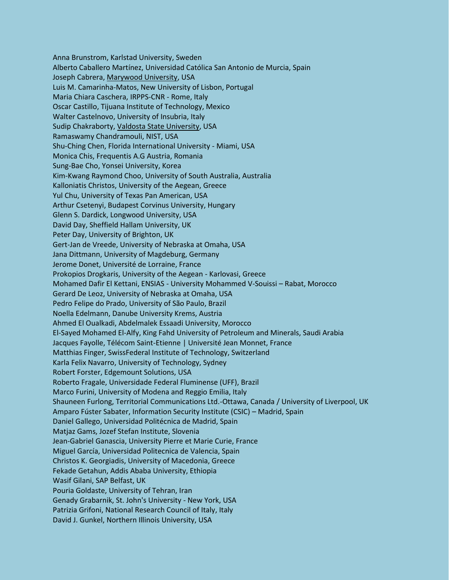Anna Brunstrom, Karlstad University, Sweden Alberto Caballero Martínez, Universidad Católica San Antonio de Murcia, Spain Joseph Cabrera, Marywood University, USA Luis M. Camarinha-Matos, New University of Lisbon, Portugal Maria Chiara Caschera, IRPPS-CNR - Rome, Italy Oscar Castillo, Tijuana Institute of Technology, Mexico Walter Castelnovo, University of Insubria, Italy Sudip Chakraborty, Valdosta State University, USA Ramaswamy Chandramouli, NIST, USA Shu-Ching Chen, Florida International University - Miami, USA Monica Chis, Frequentis A.G Austria, Romania Sung-Bae Cho, Yonsei University, Korea Kim-Kwang Raymond Choo, University of South Australia, Australia Kalloniatis Christos, University of the Aegean, Greece Yul Chu, University of Texas Pan American, USA Arthur Csetenyi, Budapest Corvinus University, Hungary Glenn S. Dardick, Longwood University, USA David Day, Sheffield Hallam University, UK Peter Day, University of Brighton, UK Gert-Jan de Vreede, University of Nebraska at Omaha, USA Jana Dittmann, University of Magdeburg, Germany Jerome Donet, Université de Lorraine, France Prokopios Drogkaris, University of the Aegean - Karlovasi, Greece Mohamed Dafir El Kettani, ENSIAS - University Mohammed V-Souissi – Rabat, Morocco Gerard De Leoz, University of Nebraska at Omaha, USA Pedro Felipe do Prado, University of São Paulo, Brazil Noella Edelmann, Danube University Krems, Austria Ahmed El Oualkadi, Abdelmalek Essaadi University, Morocco El-Sayed Mohamed El-Alfy, King Fahd University of Petroleum and Minerals, Saudi Arabia Jacques Fayolle, Télécom Saint-Etienne | Université Jean Monnet, France Matthias Finger, SwissFederal Institute of Technology, Switzerland Karla Felix Navarro, University of Technology, Sydney Robert Forster, Edgemount Solutions, USA Roberto Fragale, Universidade Federal Fluminense (UFF), Brazil Marco Furini, University of Modena and Reggio Emilia, Italy Shauneen Furlong, Territorial Communications Ltd.-Ottawa, Canada / University of Liverpool, UK Amparo Fúster Sabater, Information Security Institute (CSIC) – Madrid, Spain Daniel Gallego, Universidad Politécnica de Madrid, Spain Matjaz Gams, Jozef Stefan Institute, Slovenia Jean-Gabriel Ganascia, University Pierre et Marie Curie, France Miguel García, Universidad Politecnica de Valencia, Spain Christos K. Georgiadis, University of Macedonia, Greece Fekade Getahun, Addis Ababa University, Ethiopia Wasif Gilani, SAP Belfast, UK Pouria Goldaste, University of Tehran, Iran Genady Grabarnik, St. John's University - New York, USA Patrizia Grifoni, National Research Council of Italy, Italy David J. Gunkel, Northern Illinois University, USA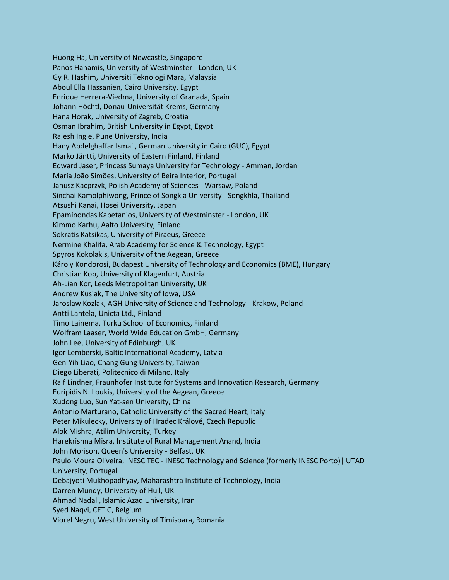Huong Ha, University of Newcastle, Singapore Panos Hahamis, University of Westminster - London, UK Gy R. Hashim, Universiti Teknologi Mara, Malaysia Aboul Ella Hassanien, Cairo University, Egypt Enrique Herrera-Viedma, University of Granada, Spain Johann Höchtl, Donau-Universität Krems, Germany Hana Horak, University of Zagreb, Croatia Osman Ibrahim, British University in Egypt, Egypt Rajesh Ingle, Pune University, India Hany Abdelghaffar Ismail, German University in Cairo (GUC), Egypt Marko Jäntti, University of Eastern Finland, Finland Edward Jaser, Princess Sumaya University for Technology - Amman, Jordan Maria João Simões, University of Beira Interior, Portugal Janusz Kacprzyk, Polish Academy of Sciences - Warsaw, Poland Sinchai Kamolphiwong, Prince of Songkla University - Songkhla, Thailand Atsushi Kanai, Hosei University, Japan Epaminondas Kapetanios, University of Westminster - London, UK Kimmo Karhu, Aalto University, Finland Sokratis Katsikas, University of Piraeus, Greece Nermine Khalifa, Arab Academy for Science & Technology, Egypt Spyros Kokolakis, University of the Aegean, Greece Károly Kondorosi, Budapest University of Technology and Economics (BME), Hungary Christian Kop, University of Klagenfurt, Austria Ah-Lian Kor, Leeds Metropolitan University, UK Andrew Kusiak, The University of Iowa, USA Jaroslaw Kozlak, AGH University of Science and Technology - Krakow, Poland Antti Lahtela, Unicta Ltd., Finland Timo Lainema, Turku School of Economics, Finland Wolfram Laaser, World Wide Education GmbH, Germany John Lee, University of Edinburgh, UK Igor Lemberski, Baltic International Academy, Latvia Gen-Yih Liao, Chang Gung University, Taiwan Diego Liberati, Politecnico di Milano, Italy Ralf Lindner, Fraunhofer Institute for Systems and Innovation Research, Germany Euripidis N. Loukis, University of the Aegean, Greece Xudong Luo, Sun Yat-sen University, China Antonio Marturano, Catholic University of the Sacred Heart, Italy Peter Mikulecky, University of Hradec Králové, Czech Republic Alok Mishra, Atilim University, Turkey Harekrishna Misra, Institute of Rural Management Anand, India John Morison, Queen's University - Belfast, UK Paulo Moura Oliveira, INESC TEC - INESC Technology and Science (formerly INESC Porto)| UTAD University, Portugal Debajyoti Mukhopadhyay, Maharashtra Institute of Technology, India Darren Mundy, University of Hull, UK Ahmad Nadali, Islamic Azad University, Iran Syed Naqvi, CETIC, Belgium Viorel Negru, West University of Timisoara, Romania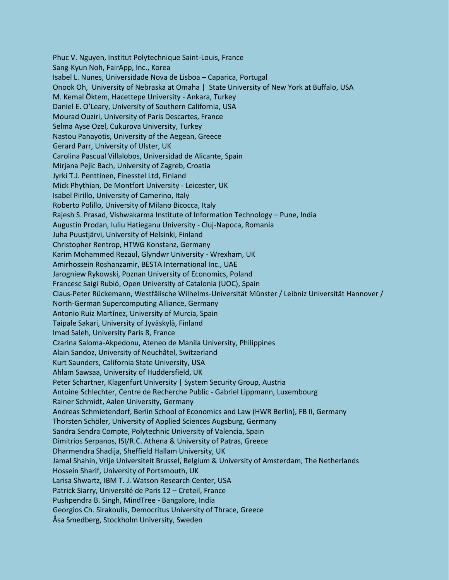Phuc V. Nguyen, Institut Polytechnique Saint-Louis, France Sang-Kyun Noh, FairApp, Inc., Korea Isabel L. Nunes, Universidade Nova de Lisboa – Caparica, Portugal Onook Oh, University of Nebraska at Omaha | State University of New York at Buffalo, USA M. Kemal Öktem, Hacettepe University - Ankara, Turkey Daniel E. O'Leary, University of Southern California, USA Mourad Ouziri, University of Paris Descartes, France Selma Ayse Ozel, Cukurova University, Turkey Nastou Panayotis, University of the Aegean, Greece Gerard Parr, University of Ulster, UK Carolina Pascual Villalobos, Universidad de Alicante, Spain Mirjana Pejic Bach, University of Zagreb, Croatia Jyrki T.J. Penttinen, Finesstel Ltd, Finland Mick Phythian, De Montfort University - Leicester, UK Isabel Pirillo, University of Camerino, Italy Roberto Polillo, University of Milano Bicocca, Italy Rajesh S. Prasad, Vishwakarma Institute of Information Technology – Pune, India Augustin Prodan, Iuliu Hatieganu University - Cluj-Napoca, Romania Juha Puustjärvi, University of Helsinki, Finland Christopher Rentrop, HTWG Konstanz, Germany Karim Mohammed Rezaul, Glyndwr University - Wrexham, UK Amirhossein Roshanzamir, BESTA International Inc., UAE Jarogniew Rykowski, Poznan University of Economics, Poland Francesc Saigi Rubió, Open University of Catalonia (UOC), Spain Claus-Peter Rückemann, Westfälische Wilhelms-Universität Münster / Leibniz Universität Hannover / North-German Supercomputing Alliance, Germany Antonio Ruiz Martínez, University of Murcia, Spain Taipale Sakari, University of Jyväskylä, Finland Imad Saleh, University Paris 8, France Czarina Saloma-Akpedonu, Ateneo de Manila University, Philippines Alain Sandoz, University of Neuchâtel, Switzerland Kurt Saunders, California State University, USA Ahlam Sawsaa, University of Huddersfield, UK Peter Schartner, Klagenfurt University | System Security Group, Austria Antoine Schlechter, Centre de Recherche Public - Gabriel Lippmann, Luxembourg Rainer Schmidt, Aalen University, Germany Andreas Schmietendorf, Berlin School of Economics and Law (HWR Berlin), FB II, Germany Thorsten Schöler, University of Applied Sciences Augsburg, Germany Sandra Sendra Compte, Polytechnic University of Valencia, Spain Dimitrios Serpanos, ISI/R.C. Athena & University of Patras, Greece Dharmendra Shadija, Sheffield Hallam University, UK Jamal Shahin, Vrije Universiteit Brussel, Belgium & University of Amsterdam, The Netherlands Hossein Sharif, University of Portsmouth, UK Larisa Shwartz, IBM T. J. Watson Research Center, USA Patrick Siarry, Université de Paris 12 – Creteil, France Pushpendra B. Singh, MindTree - Bangalore, India Georgios Ch. Sirakoulis, Democritus University of Thrace, Greece Åsa Smedberg, Stockholm University, Sweden